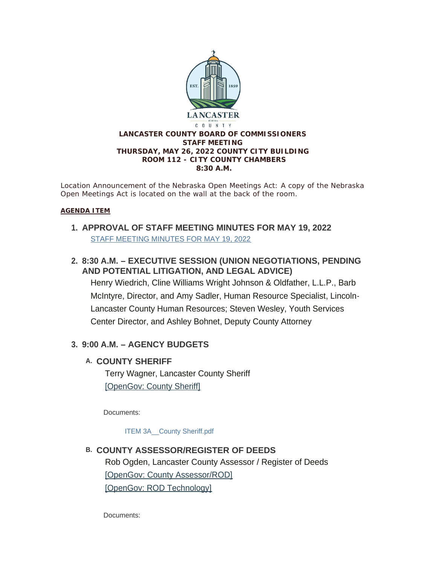

*Location Announcement of the Nebraska Open Meetings Act: A copy of the Nebraska Open Meetings Act is located on the wall at the back of the room.*

#### **AGENDA ITEM**

- **APPROVAL OF STAFF MEETING MINUTES FOR MAY 19, 2022 1.** [STAFF MEETING MINUTES FOR MAY 19, 2022](https://www.lancaster.ne.gov/AgendaCenter/ViewFile/Minutes/_05192022-1585)
- **8:30 A.M. – EXECUTIVE SESSION (UNION NEGOTIATIONS, PENDING 2. AND POTENTIAL LITIGATION, AND LEGAL ADVICE)**

Henry Wiedrich, Cline Williams Wright Johnson & Oldfather, L.L.P., Barb McIntyre, Director, and Amy Sadler, Human Resource Specialist, Lincoln-Lancaster County Human Resources; Steven Wesley, Youth Services Center Director, and Ashley Bohnet, Deputy County Attorney

## **9:00 A.M. – AGENCY BUDGETS 3.**

## **COUNTY SHERIFF A.**

Terry Wagner, Lancaster County Sheriff [\[OpenGov: County Sheriff\]](https://lancaster.opengov.com/transparency#/62492/accountType=revenuesVersusExpenses&embed=n&breakdown=types¤tYearAmount=cumulative¤tYearPeriod=years&graph=bar&legendSort=desc&proration=true&saved_view=327959&selection=344200170DD1353A05CC1A16F3C87877&projections=null&projectionType=null&highlighting=null&highlightingVariance=null&year=2022&selectedDataSetIndex=null&fiscal_start=earliest&fiscal_end=latest)

Documents:

[ITEM 3A\\_\\_County Sheriff.pdf](https://www.lancaster.ne.gov/AgendaCenter/ViewFile/Item/5822?fileID=8320)

**COUNTY ASSESSOR/REGISTER OF DEEDS B.** Rob Ogden, Lancaster County Assessor / Register of Deeds [\[OpenGov: County Assessor/ROD\]](https://lancaster.opengov.com/transparency#/62492/accountType=revenuesVersusExpenses&embed=n&breakdown=types¤tYearAmount=cumulative¤tYearPeriod=years&graph=bar&legendSort=desc&proration=true&saved_view=327961&selection=D3B4C2CFCFBDED864E5CBF05A41D3F90&projections=null&projectionType=null&highlighting=null&highlightingVariance=null&year=2022&selectedDataSetIndex=null&fiscal_start=earliest&fiscal_end=latest) [\[OpenGov: ROD Technology\]](https://lancaster.opengov.com/transparency#/62492/accountType=revenuesVersusExpenses&embed=n&breakdown=types¤tYearAmount=cumulative¤tYearPeriod=years&graph=bar&legendSort=desc&proration=true&saved_view=327962&selection=F119E9F877EED3E26F5247B036DCB243&projections=null&projectionType=null&highlighting=null&highlightingVariance=null&year=2022&selectedDataSetIndex=null&fiscal_start=earliest&fiscal_end=latest)

Documents: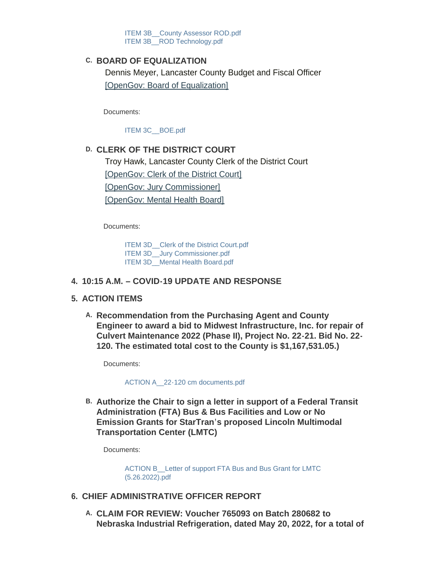ITEM 3B County Assessor ROD.pdf ITEM 3B ROD Technology.pdf

### **BOARD OF EQUALIZATION C.**

Dennis Meyer, Lancaster County Budget and Fiscal Officer [\[OpenGov: Board of Equalization\]](https://lancaster.opengov.com/transparency#/62492/accountType=revenuesVersusExpenses&embed=n&breakdown=types¤tYearAmount=cumulative¤tYearPeriod=years&graph=bar&legendSort=desc&proration=true&saved_view=327963&selection=B55CDF4CE0E25306BC058CF759C96C40&projections=null&projectionType=null&highlighting=null&highlightingVariance=null&year=2022&selectedDataSetIndex=null&fiscal_start=earliest&fiscal_end=latest)

Documents:

[ITEM 3C\\_\\_BOE.pdf](https://www.lancaster.ne.gov/AgendaCenter/ViewFile/Item/5824?fileID=8314)

### **CLERK OF THE DISTRICT COURT D.**

Troy Hawk, Lancaster County Clerk of the District Court [\[OpenGov: Clerk of the District Court\]](https://lancaster.opengov.com/transparency#/62492/accountType=revenuesVersusExpenses&embed=n&breakdown=types¤tYearAmount=cumulative¤tYearPeriod=years&graph=bar&legendSort=desc&proration=true&saved_view=327964&selection=4124605C60EE50D1236FF5E0EAF384BC&projections=null&projectionType=null&highlighting=null&highlightingVariance=null&year=2022&selectedDataSetIndex=null&fiscal_start=earliest&fiscal_end=latest) [\[OpenGov: Jury Commissioner\]](https://lancaster.opengov.com/transparency#/62492/accountType=revenuesVersusExpenses&embed=n&breakdown=types¤tYearAmount=cumulative¤tYearPeriod=years&graph=bar&legendSort=desc&proration=true&saved_view=327965&selection=6A69FD2A7DFCE20F973FAA23232DBF5B&projections=null&projectionType=null&highlighting=null&highlightingVariance=null&year=2022&selectedDataSetIndex=null&fiscal_start=earliest&fiscal_end=latest) [\[OpenGov: Mental Health Board\]](https://lancaster.opengov.com/transparency#/62492/accountType=revenuesVersusExpenses&embed=n&breakdown=types¤tYearAmount=cumulative¤tYearPeriod=years&graph=bar&legendSort=desc&proration=true&saved_view=327966&selection=7E14E1382ED40F0258DB5B04861E2BB1&projections=null&projectionType=null&highlighting=null&highlightingVariance=null&year=2022&selectedDataSetIndex=null&fiscal_start=earliest&fiscal_end=latest)

Documents:

[ITEM 3D\\_\\_Clerk of the District Court.pdf](https://www.lancaster.ne.gov/AgendaCenter/ViewFile/Item/5858?fileID=8327) ITEM 3D Jury Commissioner.pdf [ITEM 3D\\_\\_Mental Health Board.pdf](https://www.lancaster.ne.gov/AgendaCenter/ViewFile/Item/5858?fileID=8329)

#### **10:15 A.M. – COVID-19 UPDATE AND RESPONSE 4.**

#### **ACTION ITEMS 5.**

**Recommendation from the Purchasing Agent and County A. Engineer to award a bid to Midwest Infrastructure, Inc. for repair of Culvert Maintenance 2022 (Phase II), Project No. 22-21. Bid No. 22- 120. The estimated total cost to the County is \$1,167,531.05.)** 

Documents:

[ACTION A\\_\\_22-120 cm documents.pdf](https://www.lancaster.ne.gov/AgendaCenter/ViewFile/Item/5846?fileID=8304)

**Authorize the Chair to sign a letter in support of a Federal Transit B. Administration (FTA) Bus & Bus Facilities and Low or No Emission Grants for StarTran's proposed Lincoln Multimodal Transportation Center (LMTC)** 

Documents:

ACTION B Letter of support FTA Bus and Bus Grant for LMTC (5.26.2022).pdf

- **CHIEF ADMINISTRATIVE OFFICER REPORT 6.**
	- **CLAIM FOR REVIEW: Voucher 765093 on Batch 280682 to A. Nebraska Industrial Refrigeration, dated May 20, 2022, for a total of**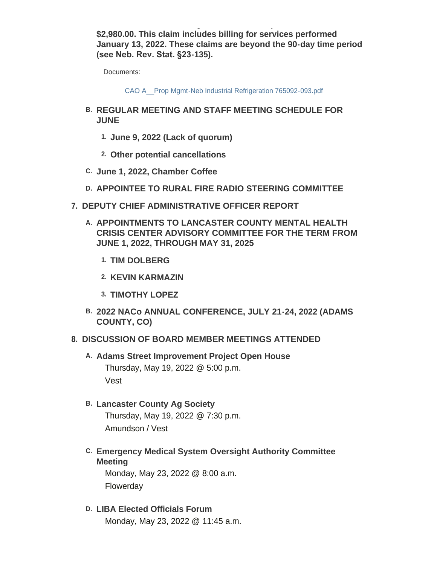**Nebraska Industrial Refrigeration, dated May 20, 2022, for a total of \$2,980.00. This claim includes billing for services performed January 13, 2022. These claims are beyond the 90-day time period (see Neb. Rev. Stat. §23-135).** 

Documents:

[CAO A\\_\\_Prop Mgmt-Neb Industrial Refrigeration 765092-093.pdf](https://www.lancaster.ne.gov/AgendaCenter/ViewFile/Item/5848?fileID=8305)

- **REGULAR MEETING AND STAFF MEETING SCHEDULE FOR B. JUNE**
	- **June 9, 2022 (Lack of quorum) 1.**
	- **Other potential cancellations 2.**
- **June 1, 2022, Chamber Coffee C.**
- **APPOINTEE TO RURAL FIRE RADIO STEERING COMMITTEE D.**
- **DEPUTY CHIEF ADMINISTRATIVE OFFICER REPORT 7.**
	- **APPOINTMENTS TO LANCASTER COUNTY MENTAL HEALTH A. CRISIS CENTER ADVISORY COMMITTEE FOR THE TERM FROM JUNE 1, 2022, THROUGH MAY 31, 2025**
		- **TIM DOLBERG 1.**
		- **KEVIN KARMAZIN 2.**
		- **TIMOTHY LOPEZ 3.**
	- **2022 NACo ANNUAL CONFERENCE, JULY 21-24, 2022 (ADAMS B. COUNTY, CO)**

### **DISCUSSION OF BOARD MEMBER MEETINGS ATTENDED 8.**

- A. Adams Street Improvement Project Open House Thursday, May 19, 2022 @ 5:00 p.m. Vest
- **Lancaster County Ag Society B.**

Thursday, May 19, 2022 @ 7:30 p.m. Amundson / Vest

**Emergency Medical System Oversight Authority Committee C. Meeting**

Monday, May 23, 2022 @ 8:00 a.m. Flowerday

**LIBA Elected Officials Forum D.** Monday, May 23, 2022 @ 11:45 a.m.